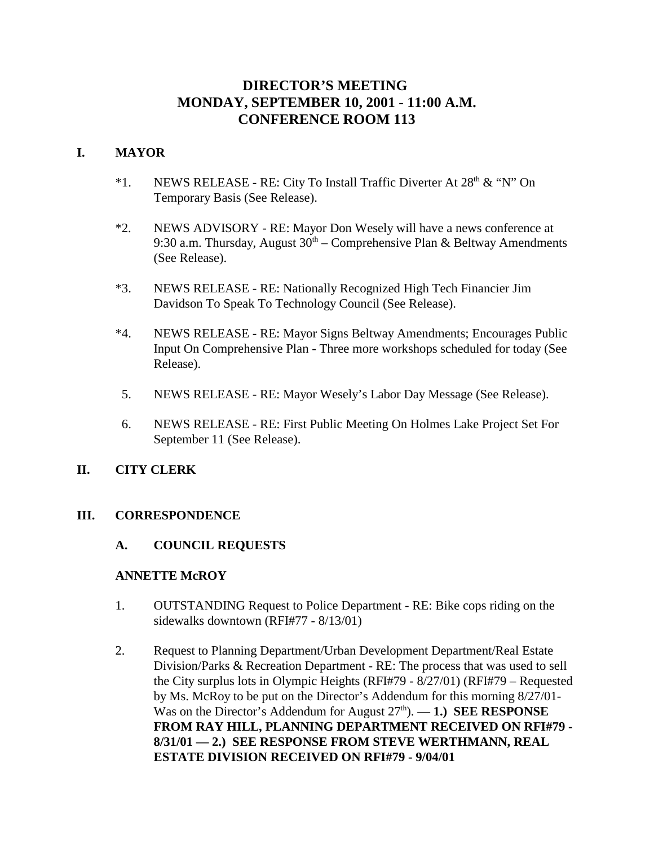# **DIRECTOR'S MEETING MONDAY, SEPTEMBER 10, 2001 - 11:00 A.M. CONFERENCE ROOM 113**

#### **I. MAYOR**

- \*1. NEWS RELEASE RE: City To Install Traffic Diverter At  $28<sup>th</sup> \& ^{\circ}$  'N'' On Temporary Basis (See Release).
- \*2. NEWS ADVISORY RE: Mayor Don Wesely will have a news conference at 9:30 a.m. Thursday, August  $30<sup>th</sup>$  – Comprehensive Plan & Beltway Amendments (See Release).
- \*3. NEWS RELEASE RE: Nationally Recognized High Tech Financier Jim Davidson To Speak To Technology Council (See Release).
- \*4. NEWS RELEASE RE: Mayor Signs Beltway Amendments; Encourages Public Input On Comprehensive Plan - Three more workshops scheduled for today (See Release).
- 5. NEWS RELEASE RE: Mayor Wesely's Labor Day Message (See Release).
- 6. NEWS RELEASE RE: First Public Meeting On Holmes Lake Project Set For September 11 (See Release).

### **II. CITY CLERK**

#### **III. CORRESPONDENCE**

#### **A. COUNCIL REQUESTS**

#### **ANNETTE McROY**

- 1. OUTSTANDING Request to Police Department RE: Bike cops riding on the sidewalks downtown (RFI#77 - 8/13/01)
- 2. Request to Planning Department/Urban Development Department/Real Estate Division/Parks & Recreation Department - RE: The process that was used to sell the City surplus lots in Olympic Heights (RFI#79 - 8/27/01) (RFI#79 – Requested by Ms. McRoy to be put on the Director's Addendum for this morning 8/27/01- Was on the Director's Addendum for August  $27<sup>th</sup>$ .  $-1$ .) **SEE RESPONSE FROM RAY HILL, PLANNING DEPARTMENT RECEIVED ON RFI#79 - 8/31/01 — 2.) SEE RESPONSE FROM STEVE WERTHMANN, REAL ESTATE DIVISION RECEIVED ON RFI#79 - 9/04/01**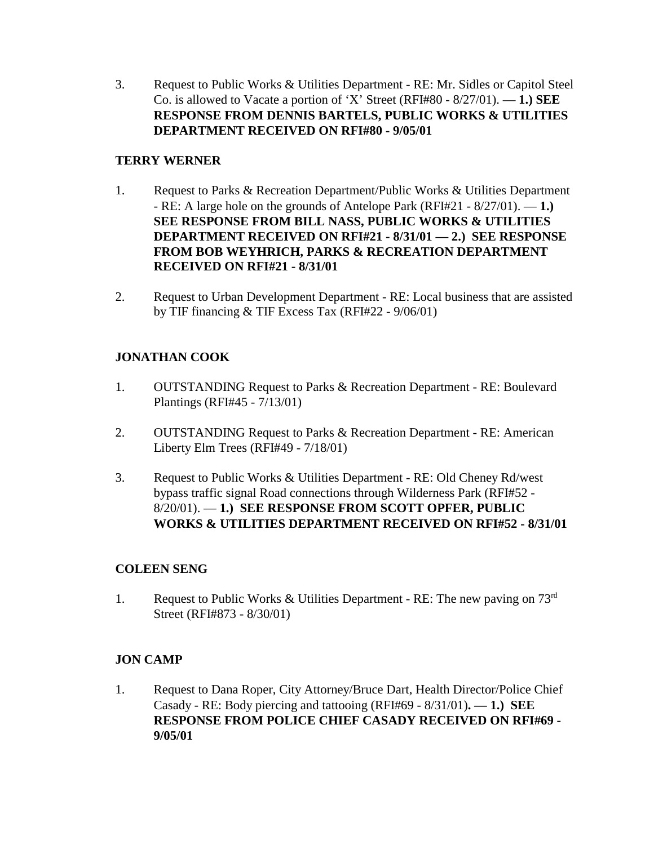3. Request to Public Works & Utilities Department - RE: Mr. Sidles or Capitol Steel Co. is allowed to Vacate a portion of 'X' Street (RFI#80 - 8/27/01). — **1.) SEE RESPONSE FROM DENNIS BARTELS, PUBLIC WORKS & UTILITIES DEPARTMENT RECEIVED ON RFI#80 - 9/05/01** 

### **TERRY WERNER**

- 1. Request to Parks & Recreation Department/Public Works & Utilities Department - RE: A large hole on the grounds of Antelope Park (RFI#21 - 8/27/01). — **1.) SEE RESPONSE FROM BILL NASS, PUBLIC WORKS & UTILITIES DEPARTMENT RECEIVED ON RFI#21 - 8/31/01 — 2.) SEE RESPONSE FROM BOB WEYHRICH, PARKS & RECREATION DEPARTMENT RECEIVED ON RFI#21 - 8/31/01**
- 2. Request to Urban Development Department RE: Local business that are assisted by TIF financing & TIF Excess Tax (RFI#22 - 9/06/01)

# **JONATHAN COOK**

- 1. OUTSTANDING Request to Parks & Recreation Department RE: Boulevard Plantings (RFI#45 - 7/13/01)
- 2. OUTSTANDING Request to Parks & Recreation Department RE: American Liberty Elm Trees (RFI#49 - 7/18/01)
- 3. Request to Public Works & Utilities Department RE: Old Cheney Rd/west bypass traffic signal Road connections through Wilderness Park (RFI#52 - 8/20/01). — **1.) SEE RESPONSE FROM SCOTT OPFER, PUBLIC WORKS & UTILITIES DEPARTMENT RECEIVED ON RFI#52 - 8/31/01**

### **COLEEN SENG**

1. Request to Public Works & Utilities Department - RE: The new paving on  $73<sup>rd</sup>$ Street (RFI#873 - 8/30/01)

# **JON CAMP**

1. Request to Dana Roper, City Attorney/Bruce Dart, Health Director/Police Chief Casady - RE: Body piercing and tattooing (RFI#69 - 8/31/01)**. — 1.) SEE RESPONSE FROM POLICE CHIEF CASADY RECEIVED ON RFI#69 - 9/05/01**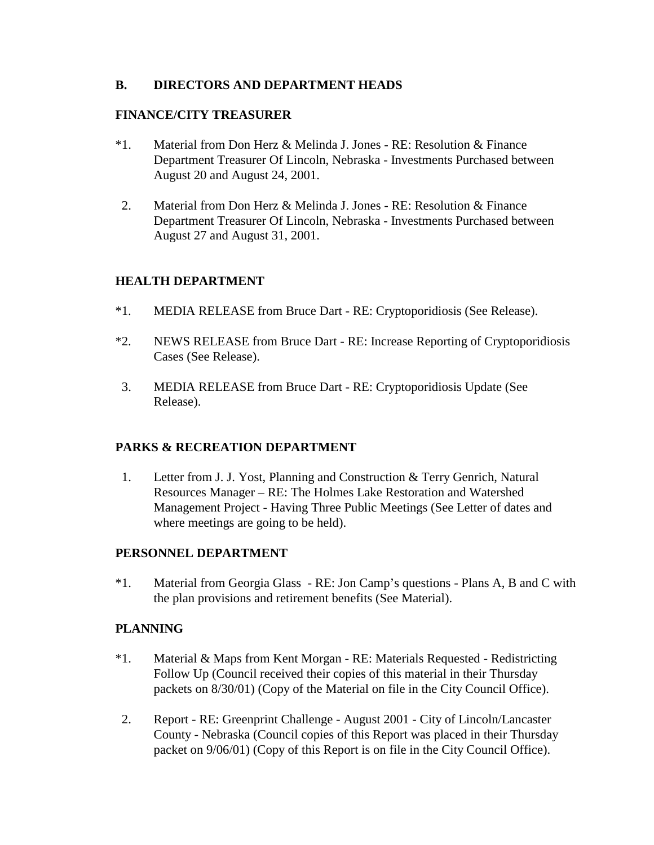#### **B. DIRECTORS AND DEPARTMENT HEADS**

#### **FINANCE/CITY TREASURER**

- \*1. Material from Don Herz & Melinda J. Jones RE: Resolution & Finance Department Treasurer Of Lincoln, Nebraska - Investments Purchased between August 20 and August 24, 2001.
- 2. Material from Don Herz & Melinda J. Jones RE: Resolution & Finance Department Treasurer Of Lincoln, Nebraska - Investments Purchased between August 27 and August 31, 2001.

### **HEALTH DEPARTMENT**

- \*1. MEDIA RELEASE from Bruce Dart RE: Cryptoporidiosis (See Release).
- \*2. NEWS RELEASE from Bruce Dart RE: Increase Reporting of Cryptoporidiosis Cases (See Release).
- 3. MEDIA RELEASE from Bruce Dart RE: Cryptoporidiosis Update (See Release).

### **PARKS & RECREATION DEPARTMENT**

 1. Letter from J. J. Yost, Planning and Construction & Terry Genrich, Natural Resources Manager – RE: The Holmes Lake Restoration and Watershed Management Project - Having Three Public Meetings (See Letter of dates and where meetings are going to be held).

### **PERSONNEL DEPARTMENT**

\*1. Material from Georgia Glass - RE: Jon Camp's questions - Plans A, B and C with the plan provisions and retirement benefits (See Material).

### **PLANNING**

- \*1. Material & Maps from Kent Morgan RE: Materials Requested Redistricting Follow Up (Council received their copies of this material in their Thursday packets on 8/30/01) (Copy of the Material on file in the City Council Office).
- 2. Report RE: Greenprint Challenge August 2001 City of Lincoln/Lancaster County - Nebraska (Council copies of this Report was placed in their Thursday packet on 9/06/01) (Copy of this Report is on file in the City Council Office).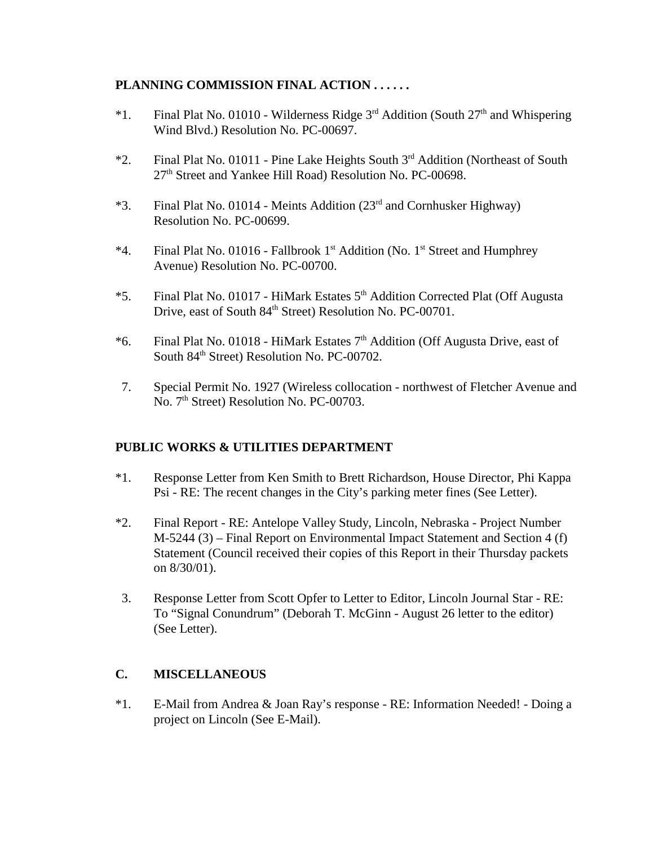### **PLANNING COMMISSION FINAL ACTION . . . . . .**

- \*1. Final Plat No. 01010 Wilderness Ridge  $3<sup>rd</sup>$  Addition (South  $27<sup>th</sup>$  and Whispering Wind Blvd.) Resolution No. PC-00697.
- \*2. Final Plat No. 01011 Pine Lake Heights South 3rd Addition (Northeast of South 27<sup>th</sup> Street and Yankee Hill Road) Resolution No. PC-00698.
- \*3. Final Plat No. 01014 Meints Addition  $(23<sup>rd</sup>$  and Cornhusker Highway) Resolution No. PC-00699.
- \*4. Final Plat No. 01016 Fallbrook 1<sup>st</sup> Addition (No. 1<sup>st</sup> Street and Humphrey Avenue) Resolution No. PC-00700.
- \*5. Final Plat No. 01017 HiMark Estates 5th Addition Corrected Plat (Off Augusta Drive, east of South 84<sup>th</sup> Street) Resolution No. PC-00701.
- \*6. Final Plat No. 01018 HiMark Estates 7th Addition (Off Augusta Drive, east of South 84<sup>th</sup> Street) Resolution No. PC-00702.
- 7. Special Permit No. 1927 (Wireless collocation northwest of Fletcher Avenue and No. 7<sup>th</sup> Street) Resolution No. PC-00703.

### **PUBLIC WORKS & UTILITIES DEPARTMENT**

- \*1. Response Letter from Ken Smith to Brett Richardson, House Director, Phi Kappa Psi - RE: The recent changes in the City's parking meter fines (See Letter).
- \*2. Final Report RE: Antelope Valley Study, Lincoln, Nebraska Project Number M-5244 (3) – Final Report on Environmental Impact Statement and Section 4 (f) Statement (Council received their copies of this Report in their Thursday packets on 8/30/01).
- 3. Response Letter from Scott Opfer to Letter to Editor, Lincoln Journal Star RE: To "Signal Conundrum" (Deborah T. McGinn - August 26 letter to the editor) (See Letter).

### **C. MISCELLANEOUS**

\*1. E-Mail from Andrea & Joan Ray's response - RE: Information Needed! - Doing a project on Lincoln (See E-Mail).